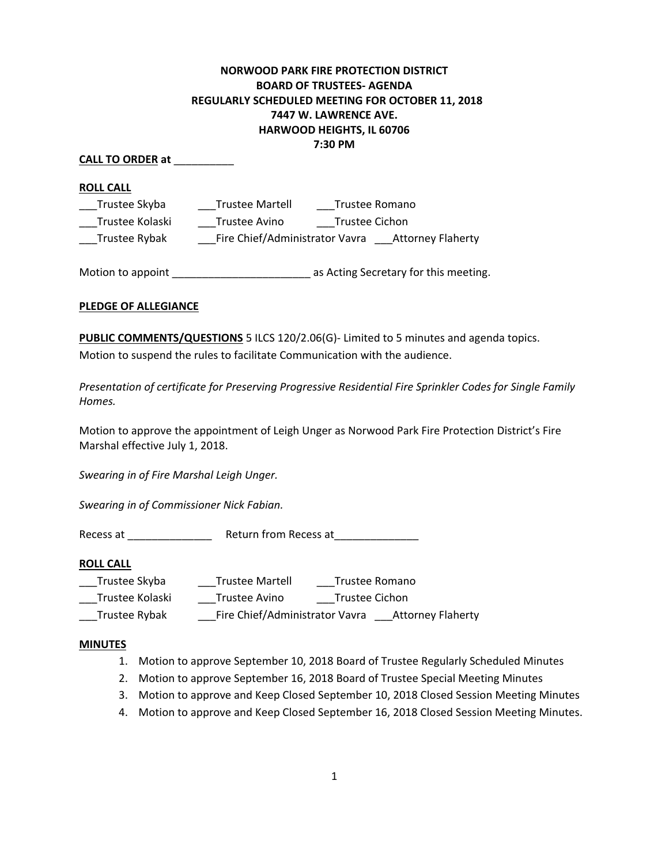## **NORWOOD PARK FIRE PROTECTION DISTRICT BOARD OF TRUSTEES- AGENDA REGULARLY SCHEDULED MEETING FOR OCTOBER 11, 2018 7447 W. LAWRENCE AVE. HARWOOD HEIGHTS, IL 60706 7:30 PM**

#### **CALL TO ORDER at** \_\_\_\_\_\_\_\_\_\_

**ROLL CALL** 

| Trustee Skyba   | <b>Trustee Martell</b>         | Trustee Romano           |  |
|-----------------|--------------------------------|--------------------------|--|
| Trustee Kolaski | Trustee Avino                  | Trustee Cichon           |  |
| Trustee Rybak   | Fire Chief/Administrator Vavra | <b>Attorney Flaherty</b> |  |

Motion to appoint \_\_\_\_\_\_\_\_\_\_\_\_\_\_\_\_\_\_\_\_\_\_\_ as Acting Secretary for this meeting.

#### **PLEDGE OF ALLEGIANCE**

**PUBLIC COMMENTS/QUESTIONS** 5 ILCS 120/2.06(G)- Limited to 5 minutes and agenda topics. Motion to suspend the rules to facilitate Communication with the audience.

*Presentation of certificate for Preserving Progressive Residential Fire Sprinkler Codes for Single Family Homes.* 

Motion to approve the appointment of Leigh Unger as Norwood Park Fire Protection District's Fire Marshal effective July 1, 2018.

*Swearing in of Fire Marshal Leigh Unger.*

*Swearing in of Commissioner Nick Fabian.* 

Recess at \_\_\_\_\_\_\_\_\_\_\_\_\_\_ Return from Recess at\_\_\_\_\_\_\_\_\_\_\_\_\_\_

#### **ROLL CALL**

| <b>Trustee Martell</b><br>Trustee Skyba<br>Trustee Romano |  |
|-----------------------------------------------------------|--|
|-----------------------------------------------------------|--|

\_\_\_Trustee Kolaski \_\_\_Trustee Avino \_\_\_Trustee Cichon

\_\_\_Trustee Rybak \_\_\_\_\_\_Fire Chief/Administrator Vavra \_\_\_\_Attorney Flaherty

#### **MINUTES**

- 1. Motion to approve September 10, 2018 Board of Trustee Regularly Scheduled Minutes
- 2. Motion to approve September 16, 2018 Board of Trustee Special Meeting Minutes
- 3. Motion to approve and Keep Closed September 10, 2018 Closed Session Meeting Minutes
- 4. Motion to approve and Keep Closed September 16, 2018 Closed Session Meeting Minutes.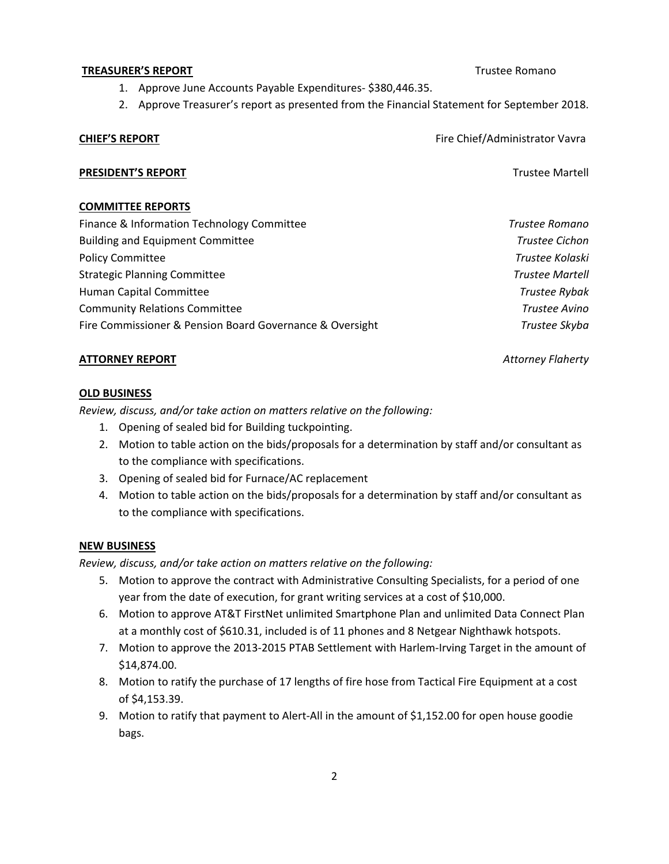## 1. Approve June Accounts Payable Expenditures- \$380,446.35.

2. Approve Treasurer's report as presented from the Financial Statement for September 2018.

**TREASURER'S REPORT** TREASURER'S REPORT

# **CHIEF'S REPORT FIRE ALL ASSESS** FIRE Chief/Administrator Vavra

#### **PRESIDENT'S REPORT** THE RESIDENT'S REPORT

#### **COMMITTEE REPORTS**

| Finance & Information Technology Committee               | Trustee Romano         |
|----------------------------------------------------------|------------------------|
| <b>Building and Equipment Committee</b>                  | Trustee Cichon         |
| <b>Policy Committee</b>                                  | Trustee Kolaski        |
| <b>Strategic Planning Committee</b>                      | <b>Trustee Martell</b> |
| Human Capital Committee                                  | Trustee Rybak          |
| <b>Community Relations Committee</b>                     | Trustee Avino          |
| Fire Commissioner & Pension Board Governance & Oversight | Trustee Skyba          |

#### **ATTORNEY REPORT** *Attorney Flaherty*

#### **OLD BUSINESS**

*Review, discuss, and/or take action on matters relative on the following:* 

- 1. Opening of sealed bid for Building tuckpointing.
- 2. Motion to table action on the bids/proposals for a determination by staff and/or consultant as to the compliance with specifications.
- 3. Opening of sealed bid for Furnace/AC replacement
- 4. Motion to table action on the bids/proposals for a determination by staff and/or consultant as to the compliance with specifications.

## **NEW BUSINESS**

*Review, discuss, and/or take action on matters relative on the following:* 

- 5. Motion to approve the contract with Administrative Consulting Specialists, for a period of one year from the date of execution, for grant writing services at a cost of \$10,000.
- 6. Motion to approve AT&T FirstNet unlimited Smartphone Plan and unlimited Data Connect Plan at a monthly cost of \$610.31, included is of 11 phones and 8 Netgear Nighthawk hotspots.
- 7. Motion to approve the 2013-2015 PTAB Settlement with Harlem-Irving Target in the amount of \$14,874.00.
- 8. Motion to ratify the purchase of 17 lengths of fire hose from Tactical Fire Equipment at a cost of \$4,153.39.
- 9. Motion to ratify that payment to Alert-All in the amount of \$1,152.00 for open house goodie bags.